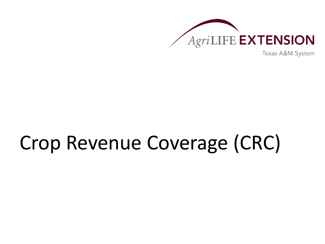

Texas A&M System

# Crop Revenue Coverage (CRC)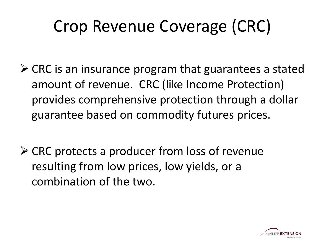## Crop Revenue Coverage (CRC)

- $\triangleright$  CRC is an insurance program that guarantees a stated amount of revenue. CRC (like Income Protection) provides comprehensive protection through a dollar guarantee based on commodity futures prices.
- $\triangleright$  CRC protects a producer from loss of revenue resulting from low prices, low yields, or a combination of the two.

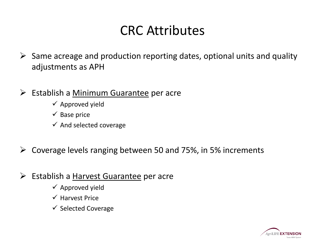### CRC Attributes

- $\triangleright$  Same acreage and production reporting dates, optional units and quality adjustments as APH
- $\triangleright$  Establish a Minimum Guarantee per acre
	- $\checkmark$  Approved yield
	- $\checkmark$  Base price
	- $\checkmark$  And selected coverage
- $\triangleright$  Coverage levels ranging between 50 and 75%, in 5% increments
- $\triangleright$  Establish a Harvest Guarantee per acre
	- $\checkmark$  Approved yield
	- $\checkmark$  Harvest Price
	- $\checkmark$  Selected Coverage

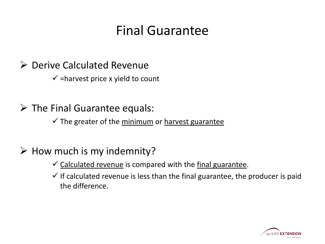### Final Guarantee

### ▶ Derive Calculated Revenue

 $\checkmark$  =harvest price x yield to count

 $\triangleright$  The Final Guarantee equals:

 $\checkmark$  The greater of the minimum or harvest guarantee

 $\triangleright$  How much is my indemnity?

- $\checkmark$  Calculated revenue is compared with the final guarantee.
- $\checkmark$  If calculated revenue is less than the final guarantee, the producer is paid the difference.

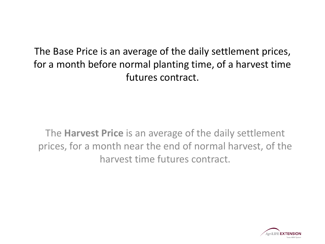The Base Price is an average of the daily settlement prices, for a month before normal planting time, of a harvest time futures contract.

The **Harvest Price** is an average of the daily settlement prices, for a month near the end of normal harvest, of the harvest time futures contract.

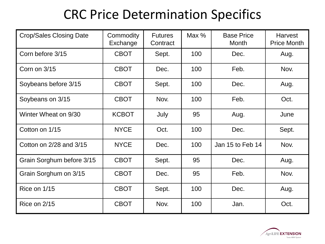### CRC Price Determination Specifics

| <b>Crop/Sales Closing Date</b> | Commodity<br>Exchange | <b>Futures</b><br>Contract | Max % | <b>Base Price</b><br><b>Month</b> | <b>Harvest</b><br><b>Price Month</b> |
|--------------------------------|-----------------------|----------------------------|-------|-----------------------------------|--------------------------------------|
| Corn before 3/15               | <b>CBOT</b>           | Sept.                      | 100   | Dec.                              | Aug.                                 |
| Corn on 3/15                   | <b>CBOT</b>           | Dec.                       | 100   | Feb.                              | Nov.                                 |
| Soybeans before 3/15           | <b>CBOT</b>           | Sept.                      | 100   | Dec.                              | Aug.                                 |
| Soybeans on 3/15               | <b>CBOT</b>           | Nov.                       | 100   | Feb.                              | Oct.                                 |
| Winter Wheat on 9/30           | <b>KCBOT</b>          | July                       | 95    | Aug.                              | June                                 |
| Cotton on 1/15                 | <b>NYCE</b>           | Oct.                       | 100   | Dec.                              | Sept.                                |
| Cotton on 2/28 and 3/15        | <b>NYCE</b>           | Dec.                       | 100   | Jan 15 to Feb 14                  | Nov.                                 |
| Grain Sorghum before 3/15      | <b>CBOT</b>           | Sept.                      | 95    | Dec.                              | Aug.                                 |
| Grain Sorghum on 3/15          | <b>CBOT</b>           | Dec.                       | 95    | Feb.                              | Nov.                                 |
| Rice on 1/15                   | <b>CBOT</b>           | Sept.                      | 100   | Dec.                              | Aug.                                 |
| Rice on $2/15$                 | <b>CBOT</b>           | Nov.                       | 100   | Jan.                              | Oct.                                 |

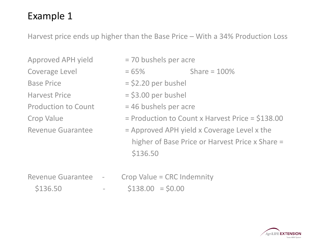Harvest price ends up higher than the Base Price – With a 34% Production Loss

- Approved APH yield  $= 70$  bushels per acre
- 
- 
- 
- 
- 
- Coverage Level  $= 65\%$  Share =  $100\%$ Base Price  $=$   $\frac{1}{2}$   $\frac{1}{2}$   $\frac{1}{2}$   $\frac{1}{2}$   $\frac{1}{2}$   $\frac{1}{2}$   $\frac{1}{2}$   $\frac{1}{2}$   $\frac{1}{2}$   $\frac{1}{2}$   $\frac{1}{2}$   $\frac{1}{2}$   $\frac{1}{2}$   $\frac{1}{2}$   $\frac{1}{2}$   $\frac{1}{2}$   $\frac{1}{2}$   $\frac{1}{2}$   $\frac{1}{2}$   $\frac{1}{2}$   $\frac{1}{$  $Harvest Price$  = \$3.00 per bushel
- Production to Count  $= 46$  bushels per acre
- Crop Value  $=$  Production to Count x Harvest Price = \$138.00
- Revenue Guarantee  $=$  Approved APH yield x Coverage Level x the higher of Base Price or Harvest Price x Share = \$136.50
- Revenue Guarantee Crop Value = CRC Indemnity  $$136.50$  -  $$138.00 = $0.00$

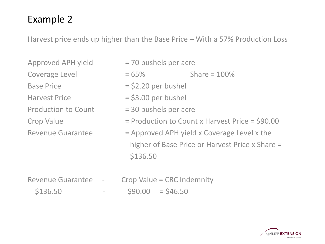Harvest price ends up higher than the Base Price – With a 57% Production Loss

- 
- 
- 
- 
- 
- Approved APH yield  $= 70$  bushels per acre
- $Coverage Level = 65%$  Share = 100%
- Base Price  $= $2.20$  per bushel
- Harvest Price  $= $3.00$  per bushel
- Production to Count  $= 30$  bushels per acre
- Crop Value  $=$  Production to Count x Harvest Price = \$90.00
- Revenue Guarantee  $=$  Approved APH yield x Coverage Level x the higher of Base Price or Harvest Price x Share = \$136.50
- Revenue Guarantee Crop Value = CRC Indemnity  $$136.50$  -  $$90.00$  = \$46.50

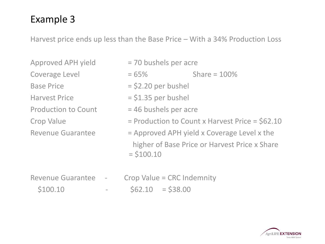Harvest price ends up less than the Base Price – With a 34% Production Loss

- 
- 
- 
- 
- 
- 
- 
- Approved APH yield  $= 70$  bushels per acre
- $Coverage Level = 65%$  Share = 100%
- $Base Price$  = \$2.20 per bushel
- Harvest Price  $= $1.35$  per bushel
- Production to Count  $= 46$  bushels per acre
- Crop Value  $=$  Production to Count x Harvest Price = \$62.10
- Revenue Guarantee  $=$  Approved APH yield x Coverage Level x the higher of Base Price or Harvest Price x Share  $= $100.10$
- Revenue Guarantee Crop Value = CRC Indemnity  $$100.10$  -  $$62.10 = $38.00$